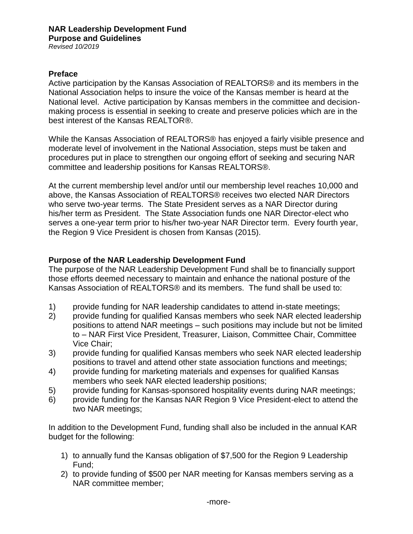*Revised 10/2019*

### **Preface**

Active participation by the Kansas Association of REALTORS® and its members in the National Association helps to insure the voice of the Kansas member is heard at the National level. Active participation by Kansas members in the committee and decisionmaking process is essential in seeking to create and preserve policies which are in the best interest of the Kansas REALTOR®.

While the Kansas Association of REALTORS® has enjoyed a fairly visible presence and moderate level of involvement in the National Association, steps must be taken and procedures put in place to strengthen our ongoing effort of seeking and securing NAR committee and leadership positions for Kansas REALTORS®.

At the current membership level and/or until our membership level reaches 10,000 and above, the Kansas Association of REALTORS® receives two elected NAR Directors who serve two-year terms. The State President serves as a NAR Director during his/her term as President. The State Association funds one NAR Director-elect who serves a one-year term prior to his/her two-year NAR Director term. Every fourth year, the Region 9 Vice President is chosen from Kansas (2015).

#### **Purpose of the NAR Leadership Development Fund**

The purpose of the NAR Leadership Development Fund shall be to financially support those efforts deemed necessary to maintain and enhance the national posture of the Kansas Association of REALTORS® and its members. The fund shall be used to:

- 1) provide funding for NAR leadership candidates to attend in-state meetings;
- 2) provide funding for qualified Kansas members who seek NAR elected leadership positions to attend NAR meetings – such positions may include but not be limited to – NAR First Vice President, Treasurer, Liaison, Committee Chair, Committee Vice Chair;
- 3) provide funding for qualified Kansas members who seek NAR elected leadership positions to travel and attend other state association functions and meetings;
- 4) provide funding for marketing materials and expenses for qualified Kansas members who seek NAR elected leadership positions;
- 5) provide funding for Kansas-sponsored hospitality events during NAR meetings;
- 6) provide funding for the Kansas NAR Region 9 Vice President-elect to attend the two NAR meetings;

In addition to the Development Fund, funding shall also be included in the annual KAR budget for the following:

- 1) to annually fund the Kansas obligation of \$7,500 for the Region 9 Leadership Fund;
- 2) to provide funding of \$500 per NAR meeting for Kansas members serving as a NAR committee member;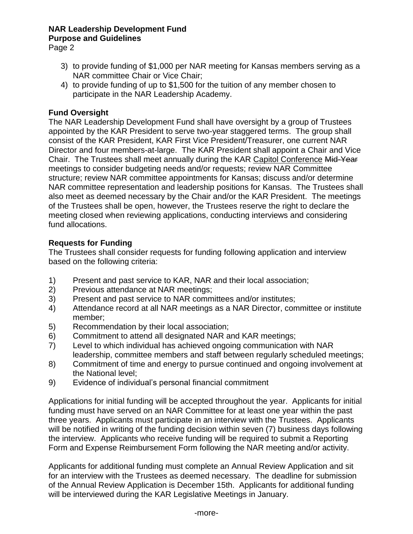## **NAR Leadership Development Fund Purpose and Guidelines**

Page 2

- 3) to provide funding of \$1,000 per NAR meeting for Kansas members serving as a NAR committee Chair or Vice Chair;
- 4) to provide funding of up to \$1,500 for the tuition of any member chosen to participate in the NAR Leadership Academy.

## **Fund Oversight**

The NAR Leadership Development Fund shall have oversight by a group of Trustees appointed by the KAR President to serve two-year staggered terms. The group shall consist of the KAR President, KAR First Vice President/Treasurer, one current NAR Director and four members-at-large. The KAR President shall appoint a Chair and Vice Chair. The Trustees shall meet annually during the KAR Capitol Conference Mid-Year meetings to consider budgeting needs and/or requests; review NAR Committee structure; review NAR committee appointments for Kansas; discuss and/or determine NAR committee representation and leadership positions for Kansas. The Trustees shall also meet as deemed necessary by the Chair and/or the KAR President. The meetings of the Trustees shall be open, however, the Trustees reserve the right to declare the meeting closed when reviewing applications, conducting interviews and considering fund allocations.

## **Requests for Funding**

The Trustees shall consider requests for funding following application and interview based on the following criteria:

- 1) Present and past service to KAR, NAR and their local association;
- 2) Previous attendance at NAR meetings;
- 3) Present and past service to NAR committees and/or institutes;
- 4) Attendance record at all NAR meetings as a NAR Director, committee or institute member;
- 5) Recommendation by their local association;
- 6) Commitment to attend all designated NAR and KAR meetings;
- 7) Level to which individual has achieved ongoing communication with NAR leadership, committee members and staff between regularly scheduled meetings;
- 8) Commitment of time and energy to pursue continued and ongoing involvement at the National level;
- 9) Evidence of individual's personal financial commitment

Applications for initial funding will be accepted throughout the year. Applicants for initial funding must have served on an NAR Committee for at least one year within the past three years. Applicants must participate in an interview with the Trustees. Applicants will be notified in writing of the funding decision within seven (7) business days following the interview. Applicants who receive funding will be required to submit a Reporting Form and Expense Reimbursement Form following the NAR meeting and/or activity.

Applicants for additional funding must complete an Annual Review Application and sit for an interview with the Trustees as deemed necessary. The deadline for submission of the Annual Review Application is December 15th. Applicants for additional funding will be interviewed during the KAR Legislative Meetings in January.